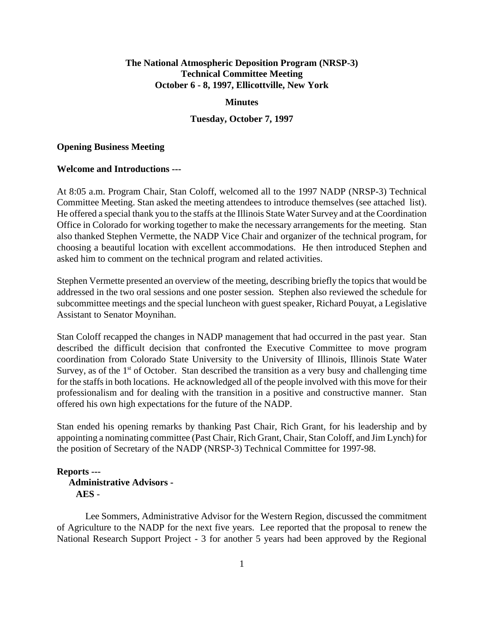# **The National Atmospheric Deposition Program (NRSP-3) Technical Committee Meeting October 6 - 8, 1997, Ellicottville, New York**

#### **Minutes**

### **Tuesday, October 7, 1997**

#### **Opening Business Meeting**

### **Welcome and Introductions ---**

At 8:05 a.m. Program Chair, Stan Coloff, welcomed all to the 1997 NADP (NRSP-3) Technical Committee Meeting. Stan asked the meeting attendees to introduce themselves (see attached list). He offered a special thank you to the staffs at the Illinois State Water Survey and at the Coordination Office in Colorado for working together to make the necessary arrangements for the meeting. Stan also thanked Stephen Vermette, the NADP Vice Chair and organizer of the technical program, for choosing a beautiful location with excellent accommodations. He then introduced Stephen and asked him to comment on the technical program and related activities.

Stephen Vermette presented an overview of the meeting, describing briefly the topics that would be addressed in the two oral sessions and one poster session. Stephen also reviewed the schedule for subcommittee meetings and the special luncheon with guest speaker, Richard Pouyat, a Legislative Assistant to Senator Moynihan.

Stan Coloff recapped the changes in NADP management that had occurred in the past year. Stan described the difficult decision that confronted the Executive Committee to move program coordination from Colorado State University to the University of Illinois, Illinois State Water Survey, as of the 1<sup>st</sup> of October. Stan described the transition as a very busy and challenging time for the staffs in both locations. He acknowledged all of the people involved with this move for their professionalism and for dealing with the transition in a positive and constructive manner. Stan offered his own high expectations for the future of the NADP.

Stan ended his opening remarks by thanking Past Chair, Rich Grant, for his leadership and by appointing a nominating committee (Past Chair, Rich Grant, Chair, Stan Coloff, and Jim Lynch) for the position of Secretary of the NADP (NRSP-3) Technical Committee for 1997-98.

# **Reports --- Administrative Advisors - AES** -

Lee Sommers, Administrative Advisor for the Western Region, discussed the commitment of Agriculture to the NADP for the next five years. Lee reported that the proposal to renew the National Research Support Project - 3 for another 5 years had been approved by the Regional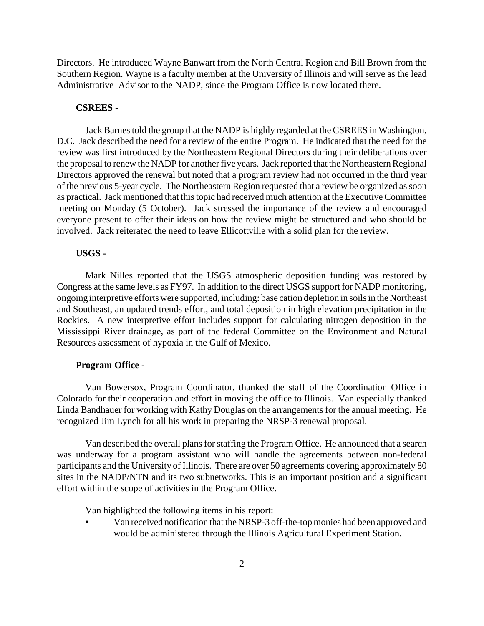Directors. He introduced Wayne Banwart from the North Central Region and Bill Brown from the Southern Region. Wayne is a faculty member at the University of Illinois and will serve as the lead Administrative Advisor to the NADP, since the Program Office is now located there.

#### **CSREES -**

Jack Barnes told the group that the NADP is highly regarded at the CSREES in Washington, D.C. Jack described the need for a review of the entire Program. He indicated that the need for the review was first introduced by the Northeastern Regional Directors during their deliberations over the proposal to renew the NADP for another five years. Jack reported that the Northeastern Regional Directors approved the renewal but noted that a program review had not occurred in the third year of the previous 5-year cycle. The Northeastern Region requested that a review be organized as soon as practical. Jack mentioned that this topic had received much attention at the Executive Committee meeting on Monday (5 October). Jack stressed the importance of the review and encouraged everyone present to offer their ideas on how the review might be structured and who should be involved. Jack reiterated the need to leave Ellicottville with a solid plan for the review.

### **USGS -**

Mark Nilles reported that the USGS atmospheric deposition funding was restored by Congress at the same levels as FY97. In addition to the direct USGS support for NADP monitoring, ongoing interpretive efforts were supported, including: base cation depletion in soils in the Northeast and Southeast, an updated trends effort, and total deposition in high elevation precipitation in the Rockies. A new interpretive effort includes support for calculating nitrogen deposition in the Mississippi River drainage, as part of the federal Committee on the Environment and Natural Resources assessment of hypoxia in the Gulf of Mexico.

#### **Program Office -**

Van Bowersox, Program Coordinator, thanked the staff of the Coordination Office in Colorado for their cooperation and effort in moving the office to Illinois. Van especially thanked Linda Bandhauer for working with Kathy Douglas on the arrangements for the annual meeting. He recognized Jim Lynch for all his work in preparing the NRSP-3 renewal proposal.

Van described the overall plans for staffing the Program Office. He announced that a search was underway for a program assistant who will handle the agreements between non-federal participants and the University of Illinois. There are over 50 agreements covering approximately 80 sites in the NADP/NTN and its two subnetworks. This is an important position and a significant effort within the scope of activities in the Program Office.

Van highlighted the following items in his report:

**•** Van received notification that the NRSP-3 off-the-topmonies had been approved and would be administered through the Illinois Agricultural Experiment Station.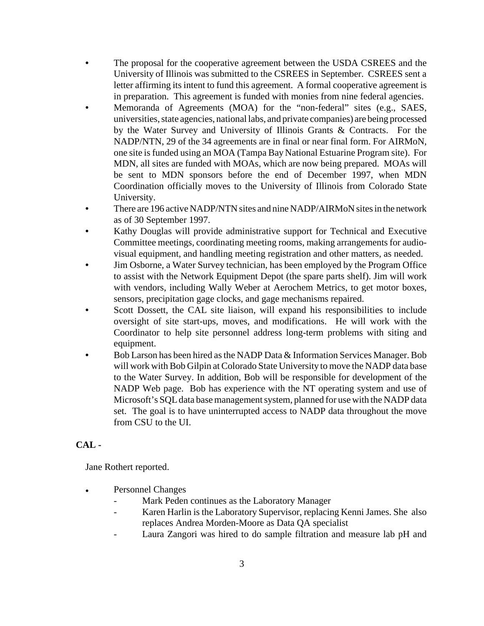- **•** The proposal for the cooperative agreement between the USDA CSREES and the University of Illinois was submitted to the CSREES in September. CSREES sent a letter affirming its intent to fund this agreement. A formal cooperative agreement is in preparation. This agreement is funded with monies from nine federal agencies.
- **•** Memoranda of Agreements (MOA) for the "non-federal" sites (e.g., SAES, universities, state agencies, national labs, and private companies) are being processed by the Water Survey and University of Illinois Grants & Contracts. For the NADP/NTN, 29 of the 34 agreements are in final or near final form. For AIRMoN, one site isfunded using an MOA (Tampa Bay National Estuarine Program site). For MDN, all sites are funded with MOAs, which are now being prepared. MOAs will be sent to MDN sponsors before the end of December 1997, when MDN Coordination officially moves to the University of Illinois from Colorado State University.
- **•** There are 196 active NADP/NTN sites and nine NADP/AIRMoN sites in the network as of 30 September 1997.
- **•** Kathy Douglas will provide administrative support for Technical and Executive Committee meetings, coordinating meeting rooms, making arrangements for audiovisual equipment, and handling meeting registration and other matters, as needed.
- **•** Jim Osborne, a Water Survey technician, has been employed by the Program Office to assist with the Network Equipment Depot (the spare parts shelf). Jim will work with vendors, including Wally Weber at Aerochem Metrics, to get motor boxes, sensors, precipitation gage clocks, and gage mechanisms repaired.
- Scott Dossett, the CAL site liaison, will expand his responsibilities to include oversight of site start-ups, moves, and modifications. He will work with the Coordinator to help site personnel address long-term problems with siting and equipment.
- Bob Larson has been hired as the NADP Data & Information Services Manager. Bob will work with Bob Gilpin at Colorado State University to move the NADP data base to the Water Survey. In addition, Bob will be responsible for development of the NADP Web page. Bob has experience with the NT operating system and use of Microsoft's SQL data base management system, planned for use with the NADP data set. The goal is to have uninterrupted access to NADP data throughout the move from CSU to the UI.

# **CAL -**

Jane Rothert reported.

- Personnel Changes
	- Mark Peden continues as the Laboratory Manager
	- Karen Harlin is the Laboratory Supervisor, replacing Kenni James. She also replaces Andrea Morden-Moore as Data QA specialist
	- Laura Zangori was hired to do sample filtration and measure lab pH and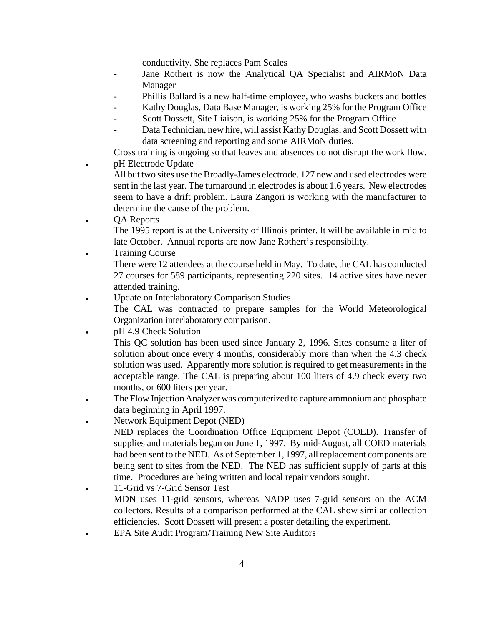conductivity. She replaces Pam Scales

- Jane Rothert is now the Analytical QA Specialist and AIRMoN Data Manager
- Phillis Ballard is a new half-time employee, who washs buckets and bottles
- Kathy Douglas, Data Base Manager, is working 25% for the Program Office
- Scott Dossett, Site Liaison, is working 25% for the Program Office
- Data Technician, new hire, will assist Kathy Douglas, and Scott Dossett with data screening and reporting and some AIRMoN duties.

Cross training is ongoing so that leaves and absences do not disrupt the work flow. • pH Electrode Update

All but two sites use the Broadly-James electrode. 127 new and used electrodes were sent in the last year. The turnaround in electrodes is about 1.6 years. New electrodes seem to have a drift problem. Laura Zangori is working with the manufacturer to determine the cause of the problem.

- QA Reports The 1995 report is at the University of Illinois printer. It will be available in mid to late October. Annual reports are now Jane Rothert's responsibility.
- **Training Course** There were 12 attendees at the course held in May. To date, the CAL has conducted 27 courses for 589 participants, representing 220 sites. 14 active sites have never attended training.
- ! Update on Interlaboratory Comparison Studies

The CAL was contracted to prepare samples for the World Meteorological Organization interlaboratory comparison.

pH 4.9 Check Solution

This QC solution has been used since January 2, 1996. Sites consume a liter of solution about once every 4 months, considerably more than when the 4.3 check solution was used. Apparently more solution is required to get measurements in the acceptable range. The CAL is preparing about 100 liters of 4.9 check every two months, or 600 liters per year.

- The Flow Injection Analyzer was computerized to capture ammonium and phosphate data beginning in April 1997.
- Network Equipment Depot (NED)
	- NED replaces the Coordination Office Equipment Depot (COED). Transfer of supplies and materials began on June 1, 1997. By mid-August, all COED materials had been sent to the NED. As of September 1, 1997, all replacement components are being sent to sites from the NED. The NED has sufficient supply of parts at this time. Procedures are being written and local repair vendors sought.
- 11-Grid vs 7-Grid Sensor Test MDN uses 11-grid sensors, whereas NADP uses 7-grid sensors on the ACM collectors. Results of a comparison performed at the CAL show similar collection efficiencies. Scott Dossett will present a poster detailing the experiment.
- ! EPA Site Audit Program/Training New Site Auditors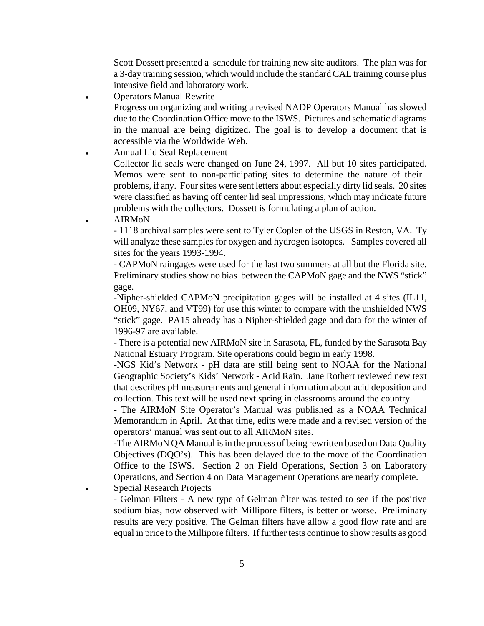Scott Dossett presented a schedule for training new site auditors. The plan was for a 3-day training session, which would include the standard CAL training course plus intensive field and laboratory work.

**Operators Manual Rewrite** 

Progress on organizing and writing a revised NADP Operators Manual has slowed due to the Coordination Office move to the ISWS. Pictures and schematic diagrams in the manual are being digitized. The goal is to develop a document that is accessible via the Worldwide Web.

- ! Annual Lid Seal Replacement Collector lid seals were changed on June 24, 1997. All but 10 sites participated. Memos were sent to non-participating sites to determine the nature of their problems, if any. Four sites were sent letters about especially dirty lid seals. 20 sites were classified as having off center lid seal impressions, which may indicate future problems with the collectors. Dossett is formulating a plan of action.
- AIRM<sub>o</sub>N

- 1118 archival samples were sent to Tyler Coplen of the USGS in Reston, VA. Ty will analyze these samples for oxygen and hydrogen isotopes. Samples covered all sites for the years 1993-1994.

- CAPMoN raingages were used for the last two summers at all but the Florida site. Preliminary studies show no bias between the CAPMoN gage and the NWS "stick" gage.

-Nipher-shielded CAPMoN precipitation gages will be installed at 4 sites (IL11, OH09, NY67, and VT99) for use this winter to compare with the unshielded NWS "stick" gage. PA15 already has a Nipher-shielded gage and data for the winter of 1996-97 are available.

- There is a potential new AIRMoN site in Sarasota, FL, funded by the Sarasota Bay National Estuary Program. Site operations could begin in early 1998.

-NGS Kid's Network - pH data are still being sent to NOAA for the National Geographic Society's Kids' Network - Acid Rain. Jane Rothert reviewed new text that describes pH measurements and general information about acid deposition and collection. This text will be used next spring in classrooms around the country.

- The AIRMoN Site Operator's Manual was published as a NOAA Technical Memorandum in April. At that time, edits were made and a revised version of the operators' manual was sent out to all AIRMoN sites.

-The AIRMoN QA Manual is in the process of being rewritten based on Data Quality Objectives (DQO's). This has been delayed due to the move of the Coordination Office to the ISWS. Section 2 on Field Operations, Section 3 on Laboratory Operations, and Section 4 on Data Management Operations are nearly complete.

Special Research Projects

- Gelman Filters - A new type of Gelman filter was tested to see if the positive sodium bias, now observed with Millipore filters, is better or worse. Preliminary results are very positive. The Gelman filters have allow a good flow rate and are equal in price to the Millipore filters. If further tests continue to show results as good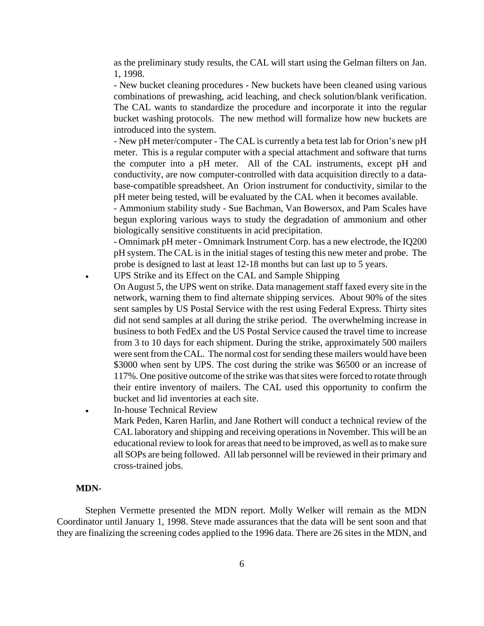as the preliminary study results, the CAL will start using the Gelman filters on Jan. 1, 1998.

- New bucket cleaning procedures - New buckets have been cleaned using various combinations of prewashing, acid leaching, and check solution/blank verification. The CAL wants to standardize the procedure and incorporate it into the regular bucket washing protocols. The new method will formalize how new buckets are introduced into the system.

- New pH meter/computer - The CAL is currently a beta test lab for Orion's new pH meter. This is a regular computer with a special attachment and software that turns the computer into a pH meter. All of the CAL instruments, except pH and conductivity, are now computer-controlled with data acquisition directly to a database-compatible spreadsheet. An Orion instrument for conductivity, similar to the pH meter being tested, will be evaluated by the CAL when it becomes available.

- Ammonium stability study - Sue Bachman, Van Bowersox, and Pam Scales have begun exploring various ways to study the degradation of ammonium and other biologically sensitive constituents in acid precipitation.

- Omnimark pH meter - Omnimark Instrument Corp. has a new electrode, the IQ200 pH system. The CAL is in the initial stages of testing this new meter and probe. The probe is designed to last at least 12-18 months but can last up to 5 years.

! UPS Strike and its Effect on the CAL and Sample Shipping

- On August 5, the UPS went on strike. Data management staff faxed every site in the network, warning them to find alternate shipping services. About 90% of the sites sent samples by US Postal Service with the rest using Federal Express. Thirty sites did not send samples at all during the strike period. The overwhelming increase in business to both FedEx and the US Postal Service caused the travel time to increase from 3 to 10 days for each shipment. During the strike, approximately 500 mailers were sent from the CAL. The normal cost for sending these mailers would have been \$3000 when sent by UPS. The cost during the strike was \$6500 or an increase of 117%. One positive outcome of the strike wasthatsites were forced to rotate through their entire inventory of mailers. The CAL used this opportunity to confirm the bucket and lid inventories at each site.
- In-house Technical Review Mark Peden, Karen Harlin, and Jane Rothert will conduct a technical review of the CAL laboratory and shipping and receiving operationsin November. This will be an educational review to look for areasthat need to be improved, as well asto make sure all SOPs are being followed. All lab personnel will be reviewed in their primary and cross-trained jobs.

#### **MDN-**

Stephen Vermette presented the MDN report. Molly Welker will remain as the MDN Coordinator until January 1, 1998. Steve made assurances that the data will be sent soon and that they are finalizing the screening codes applied to the 1996 data. There are 26 sites in the MDN, and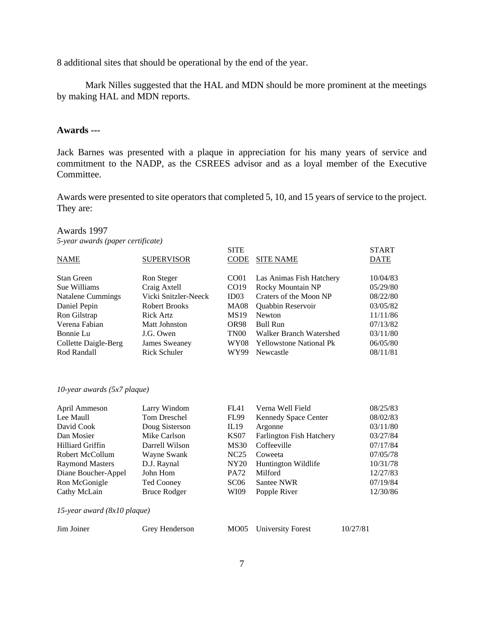8 additional sites that should be operational by the end of the year.

Mark Nilles suggested that the HAL and MDN should be more prominent at the meetings by making HAL and MDN reports.

### **Awards ---**

Jack Barnes was presented with a plaque in appreciation for his many years of service and commitment to the NADP, as the CSREES advisor and as a loyal member of the Executive Committee.

Awards were presented to site operators that completed 5, 10, and 15 years of service to the project. They are:

### Awards 1997

*5-year awards (paper certificate)*

|                      |                      | <b>SITE</b>      |                                | <b>START</b> |
|----------------------|----------------------|------------------|--------------------------------|--------------|
| NAME                 | <b>SUPERVISOR</b>    | <b>CODE</b>      | <b>SITE NAME</b>               | <b>DATE</b>  |
| <b>Stan Green</b>    | Ron Steger           | CO <sub>01</sub> | Las Animas Fish Hatchery       | 10/04/83     |
| Sue Williams         | Craig Axtell         | CO <sub>19</sub> | Rocky Mountain NP              | 05/29/80     |
| Natalene Cummings    | Vicki Snitzler-Neeck | ID03             | Craters of the Moon NP         | 08/22/80     |
| Daniel Pepin         | Robert Brooks        | <b>MA08</b>      | <b>Quabbin Reservoir</b>       | 03/05/82     |
| Ron Gilstrap         | <b>Rick Artz</b>     | <b>MS19</b>      | Newton                         | 11/11/86     |
| Verena Fabian        | Matt Johnston        | OR <sub>98</sub> | Bull Run                       | 07/13/82     |
| Bonnie Lu            | J.G. Owen            | TN <sub>00</sub> | Walker Branch Watershed        | 03/11/80     |
| Collette Daigle-Berg | James Sweaney        | <b>WY08</b>      | <b>Yellowstone National Pk</b> | 06/05/80     |
| Rod Randall          | Rick Schuler         | WY99             | Newcastle                      | 08/11/81     |

#### *10-year awards (5x7 plaque)*

| April Ammeson                 | Larry Windom        | FL41             | Verna Well Field                | 08/25/83 |
|-------------------------------|---------------------|------------------|---------------------------------|----------|
| Lee Maull                     | <b>Tom Dreschel</b> | <b>FL99</b>      | <b>Kennedy Space Center</b>     | 08/02/83 |
| David Cook                    | Doug Sisterson      | IL19             | Argonne                         | 03/11/80 |
| Dan Mosier                    | Mike Carlson        | <b>KS07</b>      | <b>Farlington Fish Hatchery</b> | 03/27/84 |
| Hilliard Griffin              | Darrell Wilson      | <b>MS30</b>      | Coffeeville                     | 07/17/84 |
| Robert McCollum               | Wayne Swank         | NC25             | Coweeta                         | 07/05/78 |
| <b>Raymond Masters</b>        | D.J. Raynal         | NY <sub>20</sub> | Huntington Wildlife             | 10/31/78 |
| Diane Boucher-Appel           | John Hom            | <b>PA72</b>      | Milford                         | 12/27/83 |
| Ron McGonigle                 | Ted Cooney          | SC06             | Santee NWR                      | 07/19/84 |
| Cathy McLain                  | Bruce Rodger        | WI09             | Popple River                    | 12/30/86 |
| 15-year award $(8x10$ plaque) |                     |                  |                                 |          |
| Jim Joiner                    | Grey Henderson      | MO05             | University Forest               | 10/27/81 |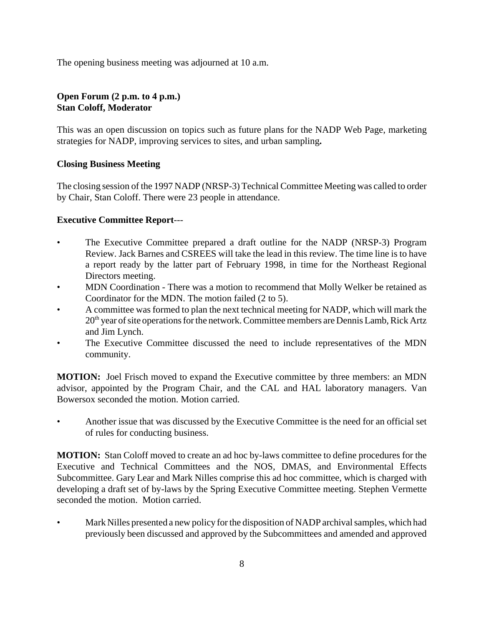The opening business meeting was adjourned at 10 a.m.

# **Open Forum (2 p.m. to 4 p.m.) Stan Coloff, Moderator**

This was an open discussion on topics such as future plans for the NADP Web Page, marketing strategies for NADP, improving services to sites, and urban sampling**.**

# **Closing Business Meeting**

The closing session of the 1997 NADP (NRSP-3) Technical Committee Meeting was called to order by Chair, Stan Coloff. There were 23 people in attendance.

# **Executive Committee Report**---

- The Executive Committee prepared a draft outline for the NADP (NRSP-3) Program Review. Jack Barnes and CSREES will take the lead in this review. The time line is to have a report ready by the latter part of February 1998, in time for the Northeast Regional Directors meeting.
- MDN Coordination There was a motion to recommend that Molly Welker be retained as Coordinator for the MDN. The motion failed (2 to 5).
- A committee was formed to plan the next technical meeting for NADP, which will mark the 20<sup>th</sup> year of site operations for the network. Committee members are Dennis Lamb, Rick Artz and Jim Lynch.
- The Executive Committee discussed the need to include representatives of the MDN community.

**MOTION:** Joel Frisch moved to expand the Executive committee by three members: an MDN advisor, appointed by the Program Chair, and the CAL and HAL laboratory managers. Van Bowersox seconded the motion. Motion carried.

• Another issue that was discussed by the Executive Committee is the need for an official set of rules for conducting business.

**MOTION:** Stan Coloff moved to create an ad hoc by-laws committee to define procedures for the Executive and Technical Committees and the NOS, DMAS, and Environmental Effects Subcommittee. Gary Lear and Mark Nilles comprise this ad hoc committee, which is charged with developing a draft set of by-laws by the Spring Executive Committee meeting. Stephen Vermette seconded the motion. Motion carried.

Mark Nilles presented a new policy for the disposition of NADP archival samples, which had previously been discussed and approved by the Subcommittees and amended and approved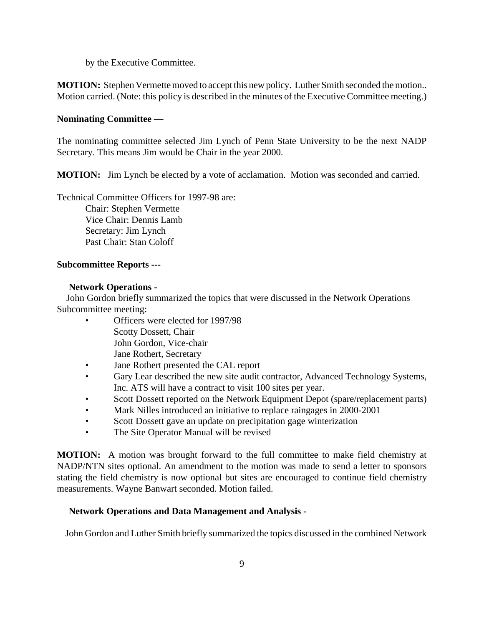by the Executive Committee.

**MOTION:** Stephen Vermette moved to accept this new policy. Luther Smith seconded the motion.. Motion carried. (Note: this policy is described in the minutes of the Executive Committee meeting.)

# **Nominating Committee —**

The nominating committee selected Jim Lynch of Penn State University to be the next NADP Secretary. This means Jim would be Chair in the year 2000.

**MOTION:** Jim Lynch be elected by a vote of acclamation. Motion was seconded and carried.

Technical Committee Officers for 1997-98 are:

Chair: Stephen Vermette Vice Chair: Dennis Lamb Secretary: Jim Lynch Past Chair: Stan Coloff

### **Subcommittee Reports ---**

### **Network Operations -**

 John Gordon briefly summarized the topics that were discussed in the Network Operations Subcommittee meeting:

- Officers were elected for 1997/98 Scotty Dossett, Chair John Gordon, Vice-chair Jane Rothert, Secretary
- Jane Rothert presented the CAL report
- Gary Lear described the new site audit contractor, Advanced Technology Systems, Inc. ATS will have a contract to visit 100 sites per year.
- Scott Dossett reported on the Network Equipment Depot (spare/replacement parts)
- Mark Nilles introduced an initiative to replace raingages in 2000-2001
- Scott Dossett gave an update on precipitation gage winterization
- The Site Operator Manual will be revised

**MOTION:** A motion was brought forward to the full committee to make field chemistry at NADP/NTN sites optional. An amendment to the motion was made to send a letter to sponsors stating the field chemistry is now optional but sites are encouraged to continue field chemistry measurements. Wayne Banwart seconded. Motion failed.

# **Network Operations and Data Management and Analysis -**

John Gordon and Luther Smith briefly summarized the topics discussed in the combined Network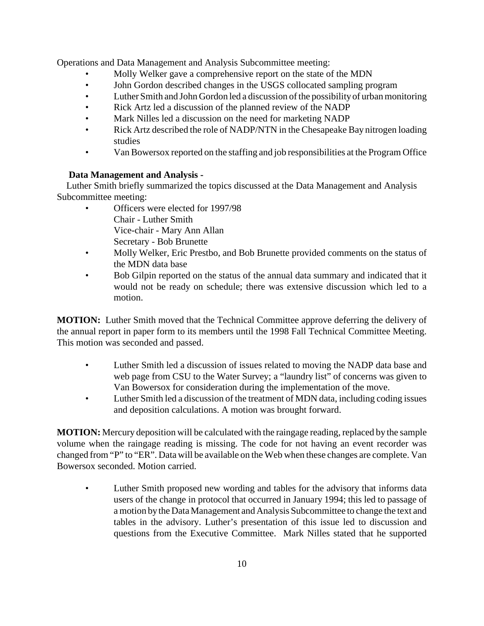Operations and Data Management and Analysis Subcommittee meeting:

- Molly Welker gave a comprehensive report on the state of the MDN
- John Gordon described changes in the USGS collocated sampling program
- Luther Smith and John Gordon led a discussion of the possibility of urban monitoring
- Rick Artz led a discussion of the planned review of the NADP
- Mark Nilles led a discussion on the need for marketing NADP
- Rick Artz described the role of NADP/NTN in the Chesapeake Bay nitrogen loading studies
- Van Bowersox reported on the staffing and job responsibilities at the Program Office

# **Data Management and Analysis -**

 Luther Smith briefly summarized the topics discussed at the Data Management and Analysis Subcommittee meeting:

- Officers were elected for 1997/98 Chair - Luther Smith Vice-chair - Mary Ann Allan Secretary - Bob Brunette
- Molly Welker, Eric Prestbo, and Bob Brunette provided comments on the status of the MDN data base
- Bob Gilpin reported on the status of the annual data summary and indicated that it would not be ready on schedule; there was extensive discussion which led to a motion.

**MOTION:** Luther Smith moved that the Technical Committee approve deferring the delivery of the annual report in paper form to its members until the 1998 Fall Technical Committee Meeting. This motion was seconded and passed.

- Luther Smith led a discussion of issues related to moving the NADP data base and web page from CSU to the Water Survey; a "laundry list" of concerns was given to Van Bowersox for consideration during the implementation of the move.
- Luther Smith led a discussion of the treatment of MDN data, including coding issues and deposition calculations. A motion was brought forward.

**MOTION:** Mercury deposition will be calculated with the raingage reading, replaced by the sample volume when the raingage reading is missing. The code for not having an event recorder was changed from "P" to "ER". Data will be available on the Web when these changes are complete. Van Bowersox seconded. Motion carried.

• Luther Smith proposed new wording and tables for the advisory that informs data users of the change in protocol that occurred in January 1994; this led to passage of a motion bythe DataManagement and Analysis Subcommittee to change the text and tables in the advisory. Luther's presentation of this issue led to discussion and questions from the Executive Committee. Mark Nilles stated that he supported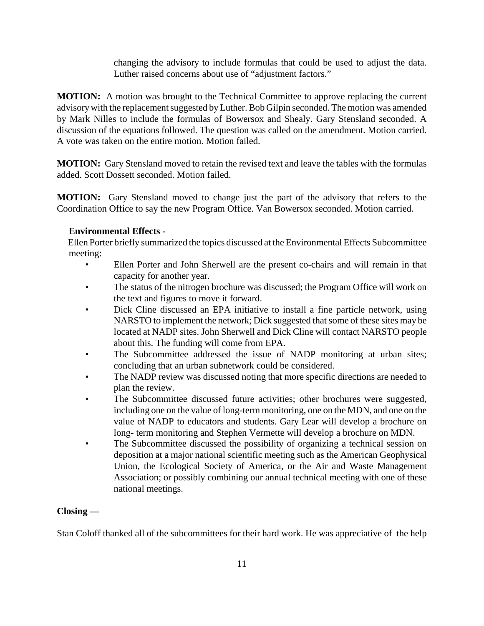changing the advisory to include formulas that could be used to adjust the data. Luther raised concerns about use of "adjustment factors."

**MOTION:** A motion was brought to the Technical Committee to approve replacing the current advisory with the replacement suggested by Luther. Bob Gilpin seconded. The motion was amended by Mark Nilles to include the formulas of Bowersox and Shealy. Gary Stensland seconded. A discussion of the equations followed. The question was called on the amendment. Motion carried. A vote was taken on the entire motion. Motion failed.

**MOTION:** Gary Stensland moved to retain the revised text and leave the tables with the formulas added. Scott Dossett seconded. Motion failed.

**MOTION:** Gary Stensland moved to change just the part of the advisory that refers to the Coordination Office to say the new Program Office. Van Bowersox seconded. Motion carried.

# **Environmental Effects -**

 Ellen Porter briefly summarized the topics discussed at the Environmental Effects Subcommittee meeting:

- Ellen Porter and John Sherwell are the present co-chairs and will remain in that capacity for another year.
- The status of the nitrogen brochure was discussed; the Program Office will work on the text and figures to move it forward.
- Dick Cline discussed an EPA initiative to install a fine particle network, using NARSTO to implement the network; Dick suggested that some of these sites may be located at NADP sites. John Sherwell and Dick Cline will contact NARSTO people about this. The funding will come from EPA.
- The Subcommittee addressed the issue of NADP monitoring at urban sites; concluding that an urban subnetwork could be considered.
- The NADP review was discussed noting that more specific directions are needed to plan the review.
- The Subcommittee discussed future activities; other brochures were suggested, including one on the value of long-term monitoring, one on the MDN, and one on the value of NADP to educators and students. Gary Lear will develop a brochure on long- term monitoring and Stephen Vermette will develop a brochure on MDN.
- The Subcommittee discussed the possibility of organizing a technical session on deposition at a major national scientific meeting such as the American Geophysical Union, the Ecological Society of America, or the Air and Waste Management Association; or possibly combining our annual technical meeting with one of these national meetings.

# **Closing —**

Stan Coloff thanked all of the subcommittees for their hard work. He was appreciative of the help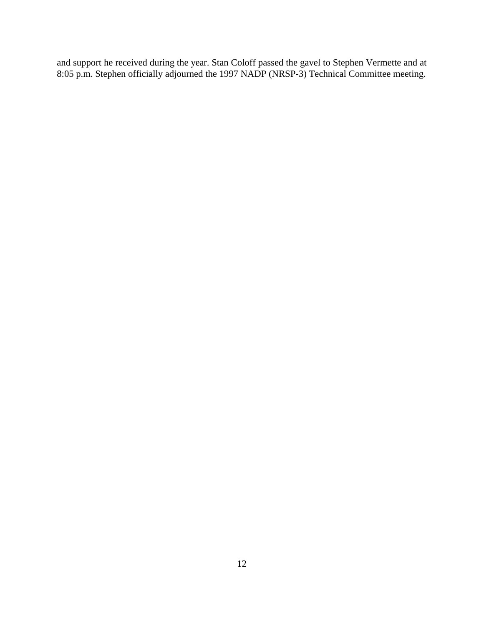and support he received during the year. Stan Coloff passed the gavel to Stephen Vermette and at 8:05 p.m. Stephen officially adjourned the 1997 NADP (NRSP-3) Technical Committee meeting.